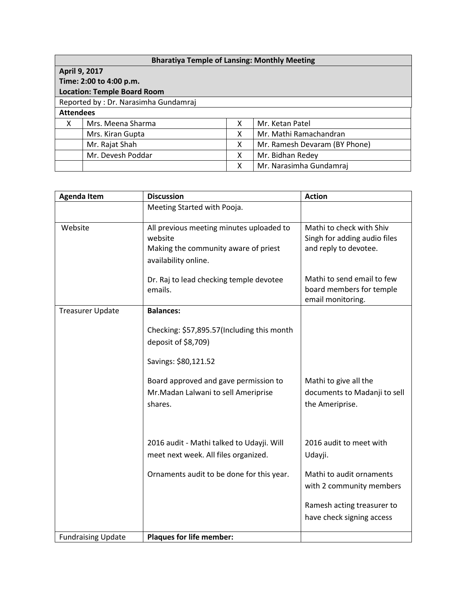| <b>Bharatiya Temple of Lansing: Monthly Meeting</b> |                   |   |                               |  |  |  |
|-----------------------------------------------------|-------------------|---|-------------------------------|--|--|--|
| April 9, 2017                                       |                   |   |                               |  |  |  |
| Time: 2:00 to 4:00 p.m.                             |                   |   |                               |  |  |  |
| <b>Location: Temple Board Room</b>                  |                   |   |                               |  |  |  |
| Reported by: Dr. Narasimha Gundamraj                |                   |   |                               |  |  |  |
| <b>Attendees</b>                                    |                   |   |                               |  |  |  |
| X                                                   | Mrs. Meena Sharma | X | Mr. Ketan Patel               |  |  |  |
|                                                     | Mrs. Kiran Gupta  | X | Mr. Mathi Ramachandran        |  |  |  |
|                                                     | Mr. Rajat Shah    | X | Mr. Ramesh Devaram (BY Phone) |  |  |  |
|                                                     | Mr. Devesh Poddar | X | Mr. Bidhan Redey              |  |  |  |
|                                                     |                   | х | Mr. Narasimha Gundamraj       |  |  |  |

| <b>Agenda Item</b>        | <b>Discussion</b>                                                                                                   | <b>Action</b>                                                                     |
|---------------------------|---------------------------------------------------------------------------------------------------------------------|-----------------------------------------------------------------------------------|
|                           | Meeting Started with Pooja.                                                                                         |                                                                                   |
| Website                   | All previous meeting minutes uploaded to<br>website<br>Making the community aware of priest<br>availability online. | Mathi to check with Shiv<br>Singh for adding audio files<br>and reply to devotee. |
|                           | Dr. Raj to lead checking temple devotee<br>emails.                                                                  | Mathi to send email to few<br>board members for temple<br>email monitoring.       |
| <b>Treasurer Update</b>   | <b>Balances:</b>                                                                                                    |                                                                                   |
|                           | Checking: \$57,895.57(Including this month<br>deposit of \$8,709)                                                   |                                                                                   |
|                           | Savings: \$80,121.52                                                                                                |                                                                                   |
|                           | Board approved and gave permission to<br>Mr. Madan Lalwani to sell Ameriprise<br>shares.                            | Mathi to give all the<br>documents to Madanji to sell<br>the Ameriprise.          |
|                           | 2016 audit - Mathi talked to Udayji. Will<br>meet next week. All files organized.                                   | 2016 audit to meet with<br>Udayji.                                                |
|                           | Ornaments audit to be done for this year.                                                                           | Mathi to audit ornaments<br>with 2 community members                              |
|                           |                                                                                                                     | Ramesh acting treasurer to<br>have check signing access                           |
| <b>Fundraising Update</b> | <b>Plaques for life member:</b>                                                                                     |                                                                                   |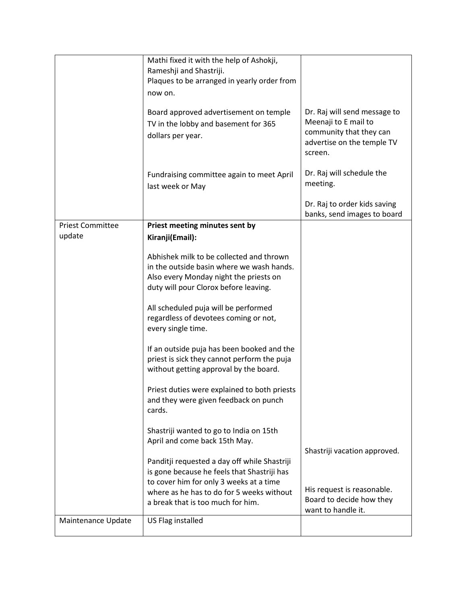|                         | Mathi fixed it with the help of Ashokji,<br>Rameshji and Shastriji.<br>Plaques to be arranged in yearly order from<br>now on.                                            |                                                                                                                          |
|-------------------------|--------------------------------------------------------------------------------------------------------------------------------------------------------------------------|--------------------------------------------------------------------------------------------------------------------------|
|                         | Board approved advertisement on temple<br>TV in the lobby and basement for 365<br>dollars per year.                                                                      | Dr. Raj will send message to<br>Meenaji to E mail to<br>community that they can<br>advertise on the temple TV<br>screen. |
|                         | Fundraising committee again to meet April<br>last week or May                                                                                                            | Dr. Raj will schedule the<br>meeting.                                                                                    |
|                         |                                                                                                                                                                          | Dr. Raj to order kids saving<br>banks, send images to board                                                              |
| <b>Priest Committee</b> | Priest meeting minutes sent by                                                                                                                                           |                                                                                                                          |
| update                  | Kiranji(Email):                                                                                                                                                          |                                                                                                                          |
|                         | Abhishek milk to be collected and thrown<br>in the outside basin where we wash hands.<br>Also every Monday night the priests on<br>duty will pour Clorox before leaving. |                                                                                                                          |
|                         | All scheduled puja will be performed<br>regardless of devotees coming or not,<br>every single time.                                                                      |                                                                                                                          |
|                         | If an outside puja has been booked and the<br>priest is sick they cannot perform the puja<br>without getting approval by the board.                                      |                                                                                                                          |
|                         | Priest duties were explained to both priests<br>and they were given feedback on punch<br>cards.                                                                          |                                                                                                                          |
|                         | Shastriji wanted to go to India on 15th<br>April and come back 15th May.                                                                                                 | Shastriji vacation approved.                                                                                             |
|                         | Panditji requested a day off while Shastriji<br>is gone because he feels that Shastriji has<br>to cover him for only 3 weeks at a time                                   |                                                                                                                          |
|                         | where as he has to do for 5 weeks without<br>a break that is too much for him.                                                                                           | His request is reasonable.<br>Board to decide how they<br>want to handle it.                                             |
| Maintenance Update      | US Flag installed                                                                                                                                                        |                                                                                                                          |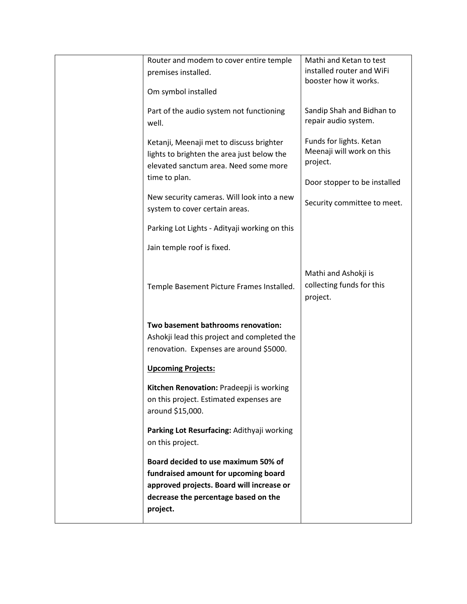| Router and modem to cover entire temple       | Mathi and Ketan to test      |
|-----------------------------------------------|------------------------------|
| premises installed.                           | installed router and WiFi    |
|                                               | booster how it works.        |
| Om symbol installed                           |                              |
| Part of the audio system not functioning      | Sandip Shah and Bidhan to    |
|                                               | repair audio system.         |
| well.                                         |                              |
| Ketanji, Meenaji met to discuss brighter      | Funds for lights. Ketan      |
|                                               | Meenaji will work on this    |
| lights to brighten the area just below the    | project.                     |
| elevated sanctum area. Need some more         |                              |
| time to plan.                                 | Door stopper to be installed |
|                                               |                              |
| New security cameras. Will look into a new    | Security committee to meet.  |
| system to cover certain areas.                |                              |
|                                               |                              |
| Parking Lot Lights - Adityaji working on this |                              |
|                                               |                              |
| Jain temple roof is fixed.                    |                              |
|                                               |                              |
|                                               | Mathi and Ashokji is         |
|                                               | collecting funds for this    |
| Temple Basement Picture Frames Installed.     |                              |
|                                               | project.                     |
|                                               |                              |
| Two basement bathrooms renovation:            |                              |
| Ashokji lead this project and completed the   |                              |
| renovation. Expenses are around \$5000.       |                              |
|                                               |                              |
| <b>Upcoming Projects:</b>                     |                              |
|                                               |                              |
| Kitchen Renovation: Pradeepji is working      |                              |
| on this project. Estimated expenses are       |                              |
| around \$15,000.                              |                              |
|                                               |                              |
| Parking Lot Resurfacing: Adithyaji working    |                              |
| on this project.                              |                              |
|                                               |                              |
| Board decided to use maximum 50% of           |                              |
| fundraised amount for upcoming board          |                              |
| approved projects. Board will increase or     |                              |
| decrease the percentage based on the          |                              |
| project.                                      |                              |
|                                               |                              |